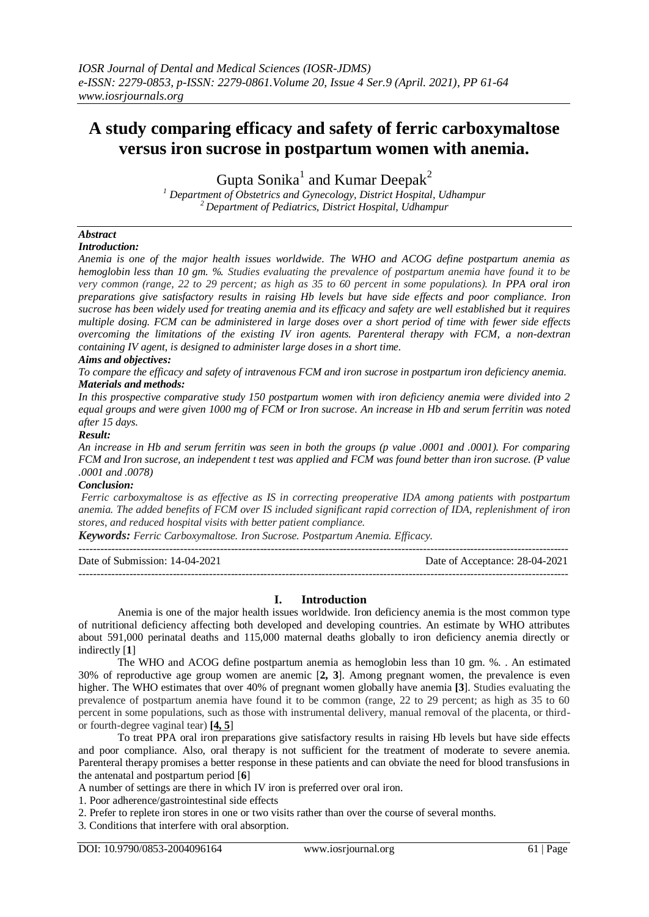# **A study comparing efficacy and safety of ferric carboxymaltose versus iron sucrose in postpartum women with anemia.**

Gupta Sonika<sup>1</sup> and Kumar Deepak<sup>2</sup>

*<sup>1</sup> Department of Obstetrics and Gynecology, District Hospital, Udhampur <sup>2</sup> Department of Pediatrics, District Hospital, Udhampur*

## *Abstract*

*Introduction:*

*Anemia is one of the major health issues worldwide. The WHO and ACOG define postpartum anemia as hemoglobin less than 10 gm. %. Studies evaluating the prevalence of postpartum anemia have found it to be very common (range, 22 to 29 percent; as high as 35 to 60 percent in some populations). In PPA oral iron preparations give satisfactory results in raising Hb levels but have side effects and poor compliance. Iron sucrose has been widely used for treating anemia and its efficacy and safety are well established but it requires multiple dosing. FCM can be administered in large doses over a short period of time with fewer side effects overcoming the limitations of the existing IV iron agents. Parenteral therapy with FCM, a non-dextran containing IV agent, is designed to administer large doses in a short time.*

#### *Aims and objectives:*

*To compare the efficacy and safety of intravenous FCM and iron sucrose in postpartum iron deficiency anemia. Materials and methods:*

*In this prospective comparative study 150 postpartum women with iron deficiency anemia were divided into 2 equal groups and were given 1000 mg of FCM or Iron sucrose. An increase in Hb and serum ferritin was noted after 15 days.*

#### *Result:*

*An increase in Hb and serum ferritin was seen in both the groups (p value .0001 and .0001). For comparing FCM and Iron sucrose, an independent t test was applied and FCM was found better than iron sucrose. (P value .0001 and .0078)*

#### *Conclusion:*

*Ferric carboxymaltose is as effective as IS in correcting preoperative IDA among patients with postpartum anemia. The added benefits of FCM over IS included significant rapid correction of IDA, replenishment of iron stores, and reduced hospital visits with better patient compliance.*

*Keywords: Ferric Carboxymaltose. Iron Sucrose. Postpartum Anemia. Efficacy.*

| Date of Submission: 14-04-2021 | Date of Acceptance: 28-04-2021 |
|--------------------------------|--------------------------------|
|                                |                                |

### **I. Introduction**

Anemia is one of the major health issues worldwide. Iron deficiency anemia is the most common type of nutritional deficiency affecting both developed and developing countries. An estimate by WHO attributes about 591,000 perinatal deaths and 115,000 maternal deaths globally to iron deficiency anemia directly or indirectly [**1**]

The WHO and ACOG define postpartum anemia as hemoglobin less than 10 gm. %. . An estimated 30% of reproductive age group women are anemic [**2, 3**]. Among pregnant women, the prevalence is even higher. The WHO estimates that over 40% of pregnant women globally have anemia **[3**]. Studies evaluating the prevalence of postpartum anemia have found it to be common (range, 22 to 29 percent; as high as 35 to 60 percent in some populations, such as those with instrumental delivery, manual removal of the placenta, or thirdor fourth-degree vaginal tear) **[4, 5**]

To treat PPA oral iron preparations give satisfactory results in raising Hb levels but have side effects and poor compliance. Also, oral therapy is not sufficient for the treatment of moderate to severe anemia. Parenteral therapy promises a better response in these patients and can obviate the need for blood transfusions in the antenatal and postpartum period [**6**]

A number of settings are there in which IV iron is preferred over oral iron.

1. Poor adherence/gastrointestinal side effects

2. Prefer to replete iron stores in one or two visits rather than over the course of several months.

3*.* Conditions that interfere with oral absorption.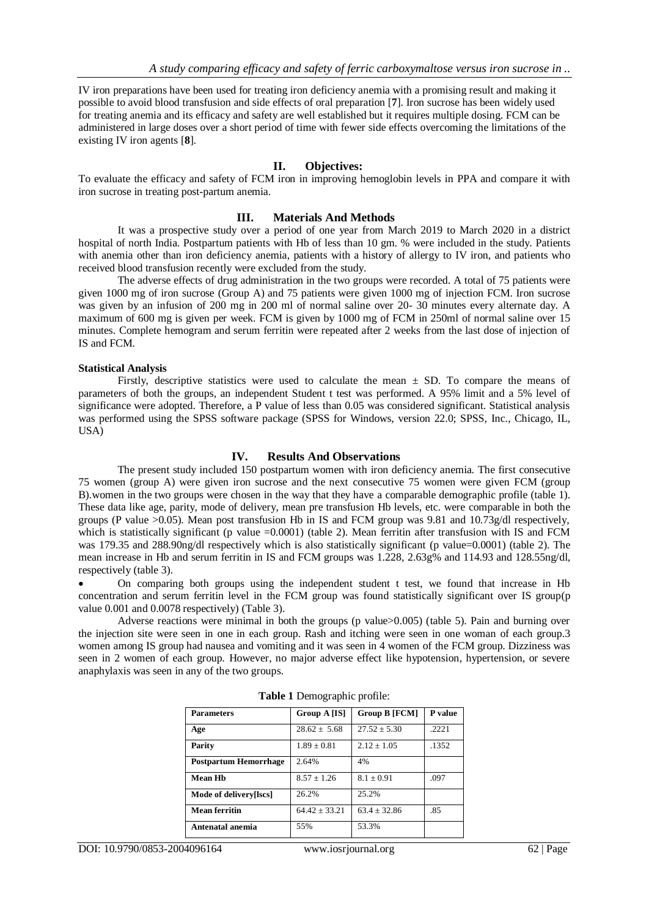IV iron preparations have been used for treating iron deficiency anemia with a promising result and making it possible to avoid blood transfusion and side effects of oral preparation [**7**]. Iron sucrose has been widely used for treating anemia and its efficacy and safety are well established but it requires multiple dosing. FCM can be administered in large doses over a short period of time with fewer side effects overcoming the limitations of the existing IV iron agents [**8**].

#### **II. Objectives:**

To evaluate the efficacy and safety of FCM iron in improving hemoglobin levels in PPA and compare it with iron sucrose in treating post-partum anemia.

#### **III. Materials And Methods**

It was a prospective study over a period of one year from March 2019 to March 2020 in a district hospital of north India. Postpartum patients with Hb of less than 10 gm. % were included in the study. Patients with anemia other than iron deficiency anemia, patients with a history of allergy to IV iron, and patients who received blood transfusion recently were excluded from the study.

The adverse effects of drug administration in the two groups were recorded. A total of 75 patients were given 1000 mg of iron sucrose (Group A) and 75 patients were given 1000 mg of injection FCM. Iron sucrose was given by an infusion of 200 mg in 200 ml of normal saline over 20- 30 minutes every alternate day. A maximum of 600 mg is given per week. FCM is given by 1000 mg of FCM in 250ml of normal saline over 15 minutes. Complete hemogram and serum ferritin were repeated after 2 weeks from the last dose of injection of IS and FCM.

#### **Statistical Analysis**

Firstly, descriptive statistics were used to calculate the mean  $\pm$  SD. To compare the means of parameters of both the groups, an independent Student t test was performed. A 95% limit and a 5% level of significance were adopted. Therefore, a P value of less than 0.05 was considered significant. Statistical analysis was performed using the SPSS software package (SPSS for Windows, version 22.0; SPSS, Inc., Chicago, IL, USA)

#### **IV. Results And Observations**

The present study included 150 postpartum women with iron deficiency anemia. The first consecutive 75 women (group A) were given iron sucrose and the next consecutive 75 women were given FCM (group B).women in the two groups were chosen in the way that they have a comparable demographic profile (table 1). These data like age, parity, mode of delivery, mean pre transfusion Hb levels, etc. were comparable in both the groups (P value >0.05). Mean post transfusion Hb in IS and FCM group was 9.81 and 10.73g/dl respectively, which is statistically significant (p value  $=0.0001$ ) (table 2). Mean ferritin after transfusion with IS and FCM was 179.35 and 288.90ng/dl respectively which is also statistically significant (p value=0.0001) (table 2). The mean increase in Hb and serum ferritin in IS and FCM groups was 1.228, 2.63g% and 114.93 and 128.55ng/dl, respectively (table 3).

 On comparing both groups using the independent student t test, we found that increase in Hb concentration and serum ferritin level in the FCM group was found statistically significant over IS group(p value 0.001 and 0.0078 respectively) (Table 3).

Adverse reactions were minimal in both the groups (p value>0.005) (table 5). Pain and burning over the injection site were seen in one in each group. Rash and itching were seen in one woman of each group.3 women among IS group had nausea and vomiting and it was seen in 4 women of the FCM group. Dizziness was seen in 2 women of each group. However, no major adverse effect like hypotension, hypertension, or severe anaphylaxis was seen in any of the two groups.

| <b>Parameters</b>            | Group A [IS]      | <b>Group B</b> [FCM] | P value |
|------------------------------|-------------------|----------------------|---------|
| Age                          | $28.62 \pm 5.68$  | $27.52 \pm 5.30$     | .2221   |
| Parity                       | $1.89 \pm 0.81$   | $2.12 + 1.05$        | .1352   |
| <b>Postpartum Hemorrhage</b> | 2.64%             | 4%                   |         |
| <b>Mean Hh</b>               | $8.57 \pm 1.26$   | $8.1 \pm 0.91$       | .097    |
| Mode of delivery[lscs]       | 26.2%             | 25.2%                |         |
| <b>Mean ferritin</b>         | $64.42 \pm 33.21$ | $63.4 \pm 32.86$     | .85     |
| Antenatal anemia             | 55%               | 53.3%                |         |

|  | Table 1 Demographic profile: |  |
|--|------------------------------|--|
|--|------------------------------|--|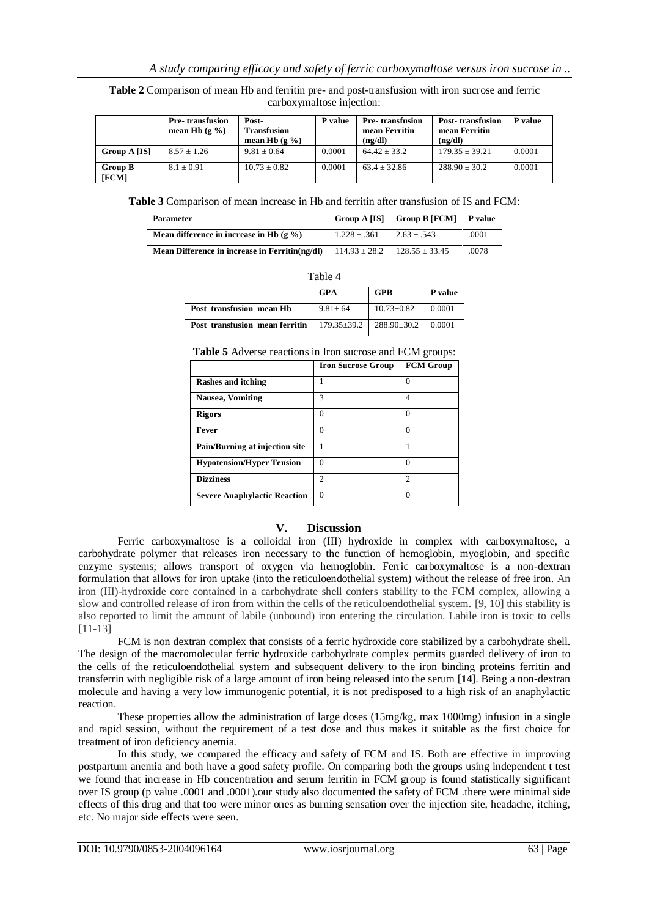**Table 2** Comparison of mean Hb and ferritin pre- and post-transfusion with iron sucrose and ferric carboxymaltose injection:

|                         | <b>Pre-transfusion</b><br>mean Hb $(g\% )$ | Post-<br><b>Transfusion</b><br>mean Hb $(g\% )$ | P value | <b>Pre-transfusion</b><br>mean Ferritin<br>(ng/dl) | <b>Post-transfusion</b><br>mean Ferritin<br>(ng/dl) | P value |
|-------------------------|--------------------------------------------|-------------------------------------------------|---------|----------------------------------------------------|-----------------------------------------------------|---------|
| Group A [IS]            | $8.57 + 1.26$                              | $9.81 + 0.64$                                   | 0.0001  | $64.42 + 33.2$                                     | $179.35 + 39.21$                                    | 0.0001  |
| <b>Group B</b><br>[FCM] | $8.1 + 0.91$                               | $10.73 + 0.82$                                  | 0.0001  | $63.4 + 32.86$                                     | $288.90 + 30.2$                                     | 0.0001  |

**Table 3** Comparison of mean increase in Hb and ferritin after transfusion of IS and FCM:

| <b>Parameter</b>                               | Group A [IS]      | Group B $[FCM]$ P value |       |
|------------------------------------------------|-------------------|-------------------------|-------|
| Mean difference in increase in Hb $(g \% )$    | $1.228 \pm .361$  | $2.63 \pm .543$         | .0001 |
| Mean Difference in increase in Ferritin(ng/dl) | $114.93 \pm 28.2$ | $128.55 \pm 33.45$      | .0078 |

| able |  |
|------|--|
|------|--|

|                                | <b>GPA</b>        | <b>GPB</b>        | P value |
|--------------------------------|-------------------|-------------------|---------|
| Post transfusion mean Hb       | $9.81 \pm .64$    | $10.73 \pm 0.82$  | 0.0001  |
| Post transfusion mean ferritin | $179.35 \pm 39.2$ | $288.90 \pm 30.2$ | 0.0001  |

**Table 5** Adverse reactions in Iron sucrose and FCM groups:

|                                     | <b>Iron Sucrose Group</b> | <b>FCM Group</b> |
|-------------------------------------|---------------------------|------------------|
| Rashes and itching                  |                           | 0                |
| <b>Nausea, Vomiting</b>             | 3                         | 4                |
| <b>Rigors</b>                       | 0                         | 0                |
| <b>Fever</b>                        | $\mathbf{\Omega}$         | $\left($         |
| Pain/Burning at injection site      |                           |                  |
| <b>Hypotension/Hyper Tension</b>    | 0                         | $\theta$         |
| <b>Dizziness</b>                    | 2                         | 2                |
| <b>Severe Anaphylactic Reaction</b> | $\Omega$                  | $\Omega$         |

### **V. Discussion**

Ferric carboxymaltose is a colloidal iron (III) hydroxide in complex with carboxymaltose, a carbohydrate polymer that releases iron necessary to the function of hemoglobin, myoglobin, and specific enzyme systems; allows transport of oxygen via hemoglobin. Ferric carboxymaltose is a non-dextran formulation that allows for iron uptake (into the reticuloendothelial system) without the release of free iron. An iron (III)-hydroxide core contained in a carbohydrate shell confers stability to the FCM complex, allowing a slow and controlled release of iron from within the cells of the reticuloendothelial system. [9, 10] this stability is also reported to limit the amount of labile (unbound) iron entering the circulation. Labile iron is toxic to cells [11-13]

FCM is non dextran complex that consists of a ferric hydroxide core stabilized by a carbohydrate shell. The design of the macromolecular ferric hydroxide carbohydrate complex permits guarded delivery of iron to the cells of the reticuloendothelial system and subsequent delivery to the iron binding proteins ferritin and transferrin with negligible risk of a large amount of iron being released into the serum [**14**]. Being a non-dextran molecule and having a very low immunogenic potential, it is not predisposed to a high risk of an anaphylactic reaction.

These properties allow the administration of large doses (15mg/kg, max 1000mg) infusion in a single and rapid session, without the requirement of a test dose and thus makes it suitable as the first choice for treatment of iron deficiency anemia.

In this study, we compared the efficacy and safety of FCM and IS. Both are effective in improving postpartum anemia and both have a good safety profile. On comparing both the groups using independent t test we found that increase in Hb concentration and serum ferritin in FCM group is found statistically significant over IS group (p value .0001 and .0001).our study also documented the safety of FCM .there were minimal side effects of this drug and that too were minor ones as burning sensation over the injection site, headache, itching, etc. No major side effects were seen.